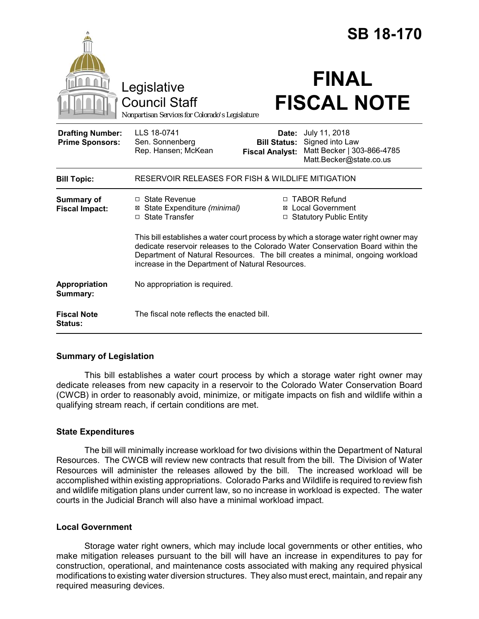|                                                   |                                                                                                                                                                                                                                                                                                              |                                                        | <b>SB 18-170</b>                                                                          |
|---------------------------------------------------|--------------------------------------------------------------------------------------------------------------------------------------------------------------------------------------------------------------------------------------------------------------------------------------------------------------|--------------------------------------------------------|-------------------------------------------------------------------------------------------|
|                                                   | Legislative<br><b>Council Staff</b><br>Nonpartisan Services for Colorado's Legislature                                                                                                                                                                                                                       |                                                        | <b>FINAL</b><br><b>FISCAL NOTE</b>                                                        |
| <b>Drafting Number:</b><br><b>Prime Sponsors:</b> | LLS 18-0741<br>Sen. Sonnenberg<br>Rep. Hansen; McKean                                                                                                                                                                                                                                                        | Date:<br><b>Bill Status:</b><br><b>Fiscal Analyst:</b> | July 11, 2018<br>Signed into Law<br>Matt Becker   303-866-4785<br>Matt.Becker@state.co.us |
| <b>Bill Topic:</b>                                | RESERVOIR RELEASES FOR FISH & WILDLIFE MITIGATION                                                                                                                                                                                                                                                            |                                                        |                                                                                           |
| <b>Summary of</b><br><b>Fiscal Impact:</b>        | $\Box$ State Revenue<br>⊠ State Expenditure (minimal)<br>□ State Transfer                                                                                                                                                                                                                                    |                                                        | □ TABOR Refund<br>⊠ Local Government<br>□ Statutory Public Entity                         |
|                                                   | This bill establishes a water court process by which a storage water right owner may<br>dedicate reservoir releases to the Colorado Water Conservation Board within the<br>Department of Natural Resources. The bill creates a minimal, ongoing workload<br>increase in the Department of Natural Resources. |                                                        |                                                                                           |
| Appropriation<br>Summary:                         | No appropriation is required.                                                                                                                                                                                                                                                                                |                                                        |                                                                                           |
| <b>Fiscal Note</b><br><b>Status:</b>              | The fiscal note reflects the enacted bill.                                                                                                                                                                                                                                                                   |                                                        |                                                                                           |

## **Summary of Legislation**

This bill establishes a water court process by which a storage water right owner may dedicate releases from new capacity in a reservoir to the Colorado Water Conservation Board (CWCB) in order to reasonably avoid, minimize, or mitigate impacts on fish and wildlife within a qualifying stream reach, if certain conditions are met.

## **State Expenditures**

The bill will minimally increase workload for two divisions within the Department of Natural Resources. The CWCB will review new contracts that result from the bill. The Division of Water Resources will administer the releases allowed by the bill. The increased workload will be accomplished within existing appropriations. Colorado Parks and Wildlife is required to review fish and wildlife mitigation plans under current law, so no increase in workload is expected. The water courts in the Judicial Branch will also have a minimal workload impact.

## **Local Government**

Storage water right owners, which may include local governments or other entities, who make mitigation releases pursuant to the bill will have an increase in expenditures to pay for construction, operational, and maintenance costs associated with making any required physical modifications to existing water diversion structures. They also must erect, maintain, and repair any required measuring devices.